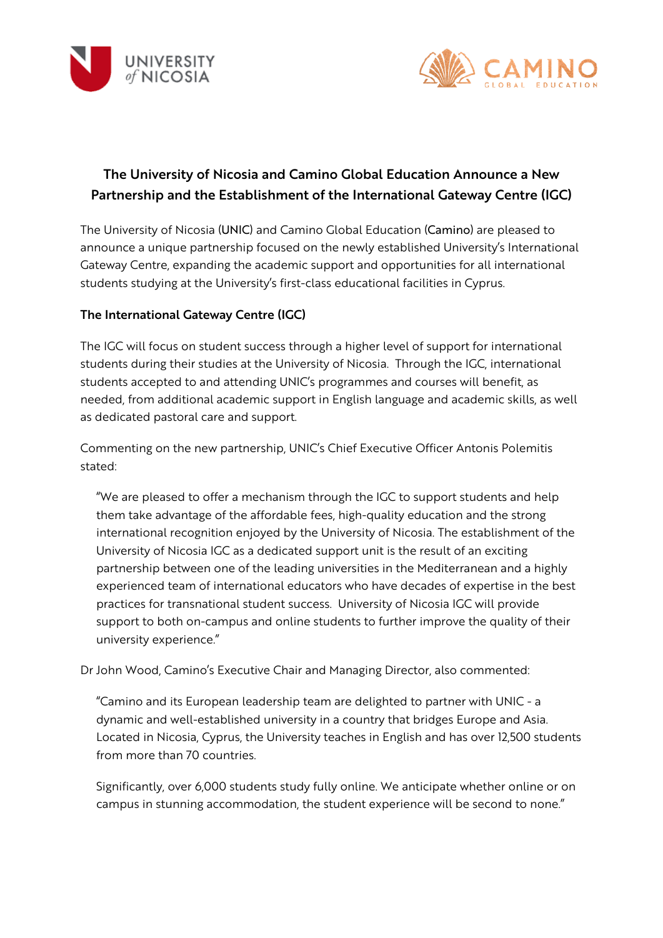



# The University of Nicosia and Camino Global Education Announce a New Partnership and the Establishment of the International Gateway Centre (IGC)

The University of Nicosia (UNIC) and Camino Global Education (Camino) are pleased to announce a unique partnership focused on the newly established University's International Gateway Centre, expanding the academic support and opportunities for all international students studying at the University's first-class educational facilities in Cyprus.

### The International Gateway Centre (IGC)

The IGC will focus on student success through a higher level of support for international students during their studies at the University of Nicosia. Through the IGC, international students accepted to and attending UNIC's programmes and courses will benefit, as needed, from additional academic support in English language and academic skills, as well as dedicated pastoral care and support.

Commenting on the new partnership, UNIC's Chief Executive Officer Antonis Polemitis stated:

"We are pleased to offer a mechanism through the IGC to support students and help them take advantage of the affordable fees, high-quality education and the strong international recognition enjoyed by the University of Nicosia. The establishment of the University of Nicosia IGC as a dedicated support unit is the result of an exciting partnership between one of the leading universities in the Mediterranean and a highly experienced team of international educators who have decades of expertise in the best practices for transnational student success. University of Nicosia IGC will provide support to both on-campus and online students to further improve the quality of their university experience."

Dr John Wood, Camino's Executive Chair and Managing Director, also commented:

"Camino and its European leadership team are delighted to partner with UNIC - a dynamic and well-established university in a country that bridges Europe and Asia. Located in Nicosia, Cyprus, the University teaches in English and has over 12,500 students from more than 70 countries.

Significantly, over 6,000 students study fully online. We anticipate whether online or on campus in stunning accommodation, the student experience will be second to none."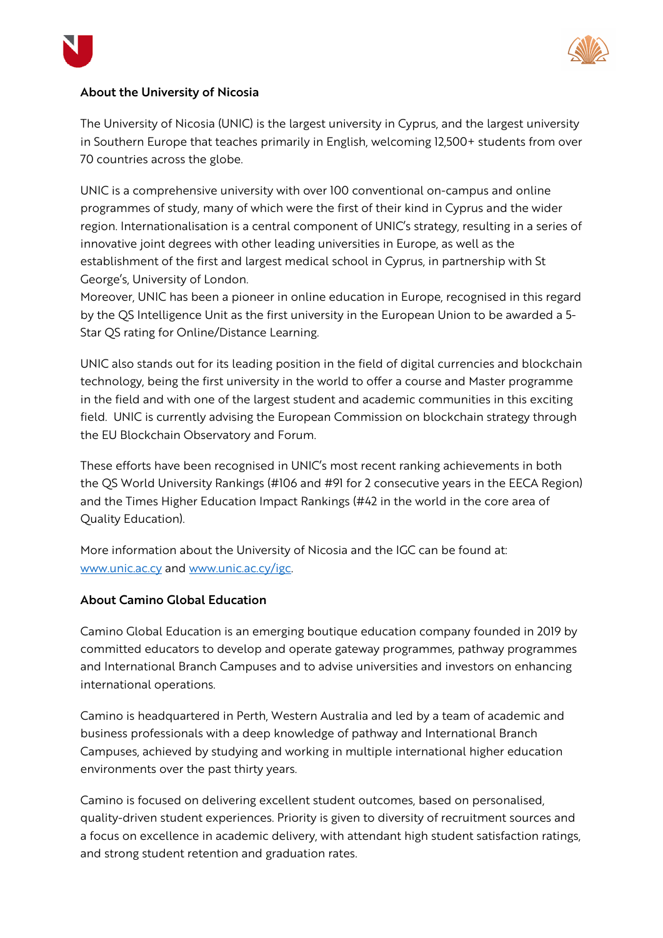



### About the University of Nicosia

The University of Nicosia (UNIC) is the largest university in Cyprus, and the largest university in Southern Europe that teaches primarily in English, welcoming 12,500+ students from over 70 countries across the globe.

UNIC is a comprehensive university with over 100 conventional on-campus and online programmes of study, many of which were the first of their kind in Cyprus and the wider region. Internationalisation is a central component of UNIC's strategy, resulting in a series of innovative joint degrees with other leading universities in Europe, as well as the establishment of the first and largest medical school in Cyprus, in partnership with St George's, University of London.

Moreover, UNIC has been a pioneer in online education in Europe, recognised in this regard by the QS Intelligence Unit as the first university in the European Union to be awarded a 5- Star QS rating for Online/Distance Learning.

UNIC also stands out for its leading position in the field of digital currencies and blockchain technology, being the first university in the world to offer a course and Master programme in the field and with one of the largest student and academic communities in this exciting field. UNIC is currently advising the European Commission on blockchain strategy through the EU Blockchain Observatory and Forum.

These efforts have been recognised in UNIC's most recent ranking achievements in both the QS World University Rankings (#106 and #91 for 2 consecutive years in the EECA Region) and the Times Higher Education Impact Rankings (#42 in the world in the core area of Quality Education).

More information about the University of Nicosia and the IGC can be found at: www.unic.ac.cy and www.unic.ac.cy/igc.

#### About Camino Global Education

Camino Global Education is an emerging boutique education company founded in 2019 by committed educators to develop and operate gateway programmes, pathway programmes and International Branch Campuses and to advise universities and investors on enhancing international operations.

Camino is headquartered in Perth, Western Australia and led by a team of academic and business professionals with a deep knowledge of pathway and International Branch Campuses, achieved by studying and working in multiple international higher education environments over the past thirty years.

Camino is focused on delivering excellent student outcomes, based on personalised, quality-driven student experiences. Priority is given to diversity of recruitment sources and a focus on excellence in academic delivery, with attendant high student satisfaction ratings, and strong student retention and graduation rates.